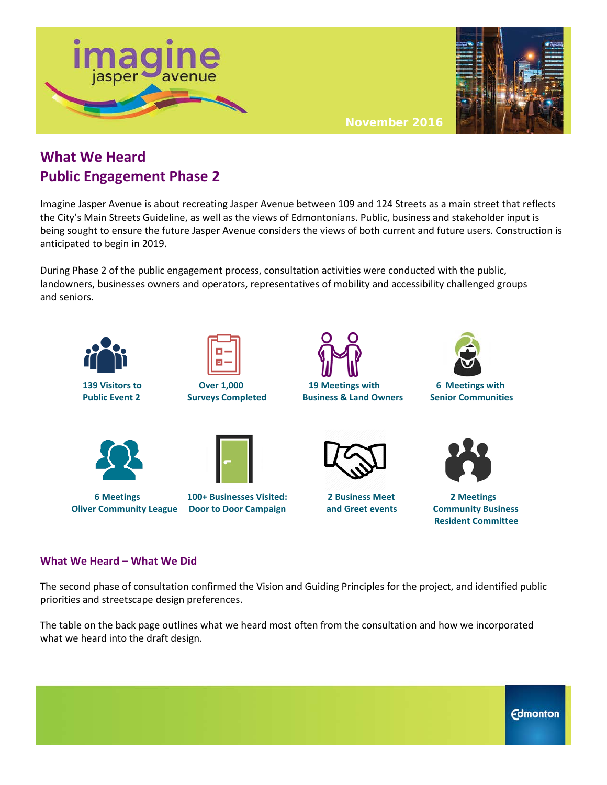



**November 2016**

## **What We Heard Public Engagement Phase 2**

Imagine Jasper Avenue is about recreating Jasper Avenue between 109 and 124 Streets as a main street that reflects the City's Main Streets Guideline, as well as the views of Edmontonians. Public, business and stakeholder input is being sought to ensure the future Jasper Avenue considers the views of both current and future users. Construction is anticipated to begin in 2019.

During Phase 2 of the public engagement process, consultation activities were conducted with the public, landowners, businesses owners and operators, representatives of mobility and accessibility challenged groups and seniors.



## **Oliver Community League Door to Door Campaign and Greet events Community Business**

 **Resident Committee**

## **What We Heard – What We Did**

The second phase of consultation confirmed the Vision and Guiding Principles for the project, and identified public priorities and streetscape design preferences.

The table on the back page outlines what we heard most often from the consultation and how we incorporated what we heard into the draft design.